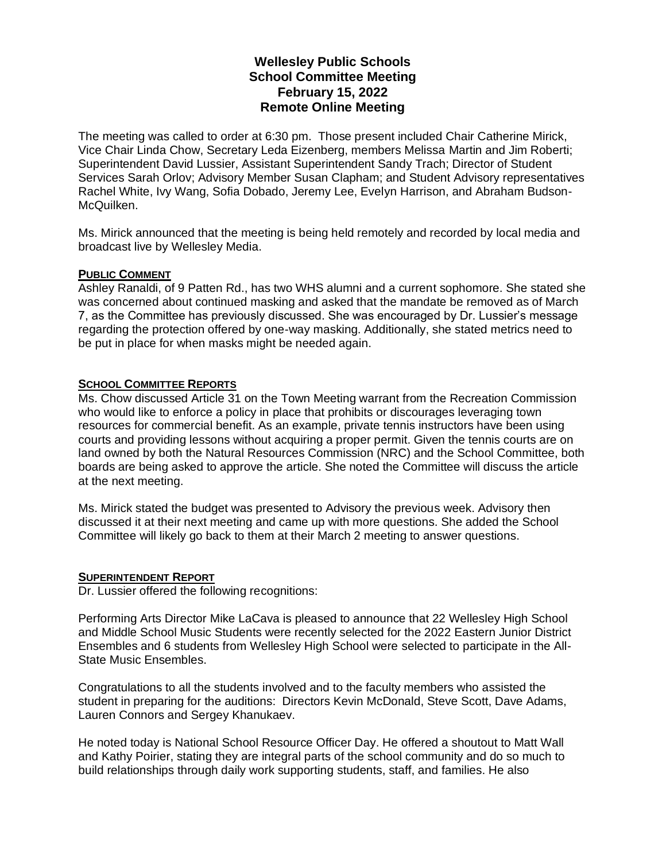# **Wellesley Public Schools School Committee Meeting February 15, 2022 Remote Online Meeting**

The meeting was called to order at 6:30 pm. Those present included Chair Catherine Mirick, Vice Chair Linda Chow, Secretary Leda Eizenberg, members Melissa Martin and Jim Roberti; Superintendent David Lussier, Assistant Superintendent Sandy Trach; Director of Student Services Sarah Orlov; Advisory Member Susan Clapham; and Student Advisory representatives Rachel White, Ivy Wang, Sofia Dobado, Jeremy Lee, Evelyn Harrison, and Abraham Budson-McQuilken.

Ms. Mirick announced that the meeting is being held remotely and recorded by local media and broadcast live by Wellesley Media.

#### **PUBLIC COMMENT**

Ashley Ranaldi, of 9 Patten Rd., has two WHS alumni and a current sophomore. She stated she was concerned about continued masking and asked that the mandate be removed as of March 7, as the Committee has previously discussed. She was encouraged by Dr. Lussier's message regarding the protection offered by one-way masking. Additionally, she stated metrics need to be put in place for when masks might be needed again.

## **SCHOOL COMMITTEE REPORTS**

Ms. Chow discussed Article 31 on the Town Meeting warrant from the Recreation Commission who would like to enforce a policy in place that prohibits or discourages leveraging town resources for commercial benefit. As an example, private tennis instructors have been using courts and providing lessons without acquiring a proper permit. Given the tennis courts are on land owned by both the Natural Resources Commission (NRC) and the School Committee, both boards are being asked to approve the article. She noted the Committee will discuss the article at the next meeting.

Ms. Mirick stated the budget was presented to Advisory the previous week. Advisory then discussed it at their next meeting and came up with more questions. She added the School Committee will likely go back to them at their March 2 meeting to answer questions.

## **SUPERINTENDENT REPORT**

Dr. Lussier offered the following recognitions:

Performing Arts Director Mike LaCava is pleased to announce that 22 Wellesley High School and Middle School Music Students were recently selected for the 2022 Eastern Junior District Ensembles and 6 students from Wellesley High School were selected to participate in the All-State Music Ensembles.

Congratulations to all the students involved and to the faculty members who assisted the student in preparing for the auditions: Directors Kevin McDonald, Steve Scott, Dave Adams, Lauren Connors and Sergey Khanukaev.

He noted today is National School Resource Officer Day. He offered a shoutout to Matt Wall and Kathy Poirier, stating they are integral parts of the school community and do so much to build relationships through daily work supporting students, staff, and families. He also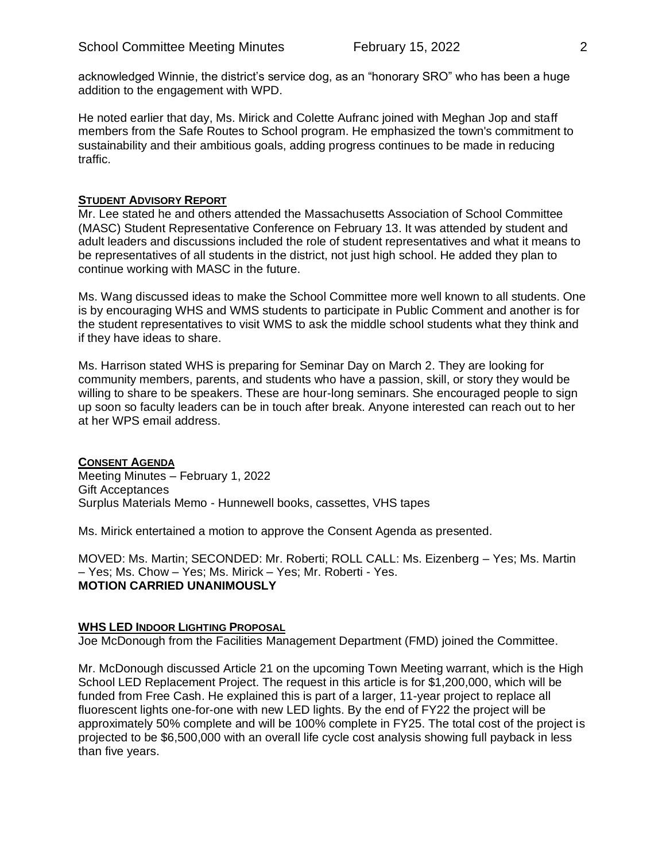acknowledged Winnie, the district's service dog, as an "honorary SRO" who has been a huge addition to the engagement with WPD.

He noted earlier that day, Ms. Mirick and Colette Aufranc joined with Meghan Jop and staff members from the Safe Routes to School program. He emphasized the town's commitment to sustainability and their ambitious goals, adding progress continues to be made in reducing traffic.

## **STUDENT ADVISORY REPORT**

Mr. Lee stated he and others attended the Massachusetts Association of School Committee (MASC) Student Representative Conference on February 13. It was attended by student and adult leaders and discussions included the role of student representatives and what it means to be representatives of all students in the district, not just high school. He added they plan to continue working with MASC in the future.

Ms. Wang discussed ideas to make the School Committee more well known to all students. One is by encouraging WHS and WMS students to participate in Public Comment and another is for the student representatives to visit WMS to ask the middle school students what they think and if they have ideas to share.

Ms. Harrison stated WHS is preparing for Seminar Day on March 2. They are looking for community members, parents, and students who have a passion, skill, or story they would be willing to share to be speakers. These are hour-long seminars. She encouraged people to sign up soon so faculty leaders can be in touch after break. Anyone interested can reach out to her at her WPS email address.

**CONSENT AGENDA** Meeting Minutes – February 1, 2022 Gift Acceptances Surplus Materials Memo - Hunnewell books, cassettes, VHS tapes

Ms. Mirick entertained a motion to approve the Consent Agenda as presented.

MOVED: Ms. Martin; SECONDED: Mr. Roberti; ROLL CALL: Ms. Eizenberg – Yes; Ms. Martin – Yes; Ms. Chow – Yes; Ms. Mirick – Yes; Mr. Roberti - Yes. **MOTION CARRIED UNANIMOUSLY**

## **WHS LED INDOOR LIGHTING PROPOSAL**

Joe McDonough from the Facilities Management Department (FMD) joined the Committee.

Mr. McDonough discussed Article 21 on the upcoming Town Meeting warrant, which is the High School LED Replacement Project. The request in this article is for \$1,200,000, which will be funded from Free Cash. He explained this is part of a larger, 11-year project to replace all fluorescent lights one-for-one with new LED lights. By the end of FY22 the project will be approximately 50% complete and will be 100% complete in FY25. The total cost of the project is projected to be \$6,500,000 with an overall life cycle cost analysis showing full payback in less than five years.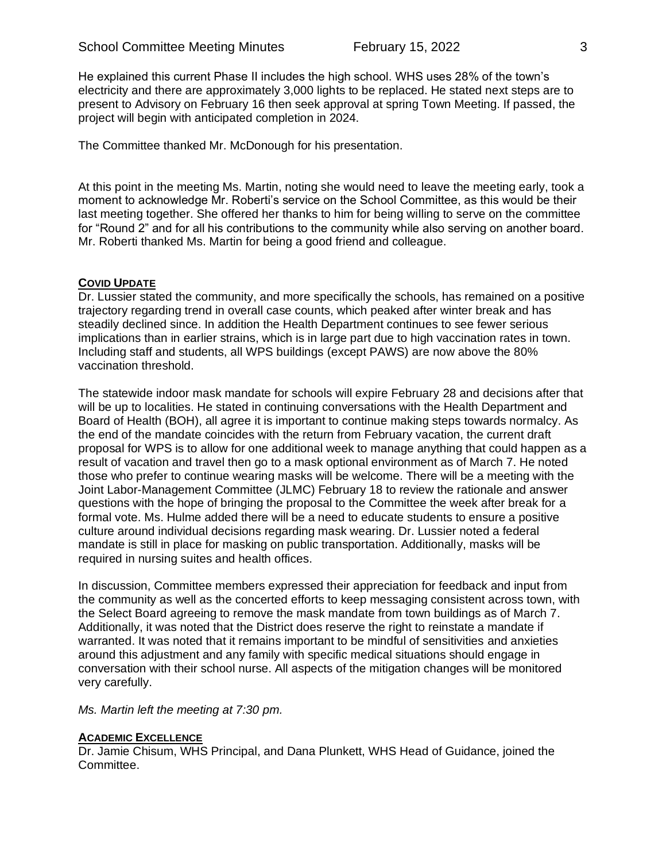He explained this current Phase II includes the high school. WHS uses 28% of the town's electricity and there are approximately 3,000 lights to be replaced. He stated next steps are to present to Advisory on February 16 then seek approval at spring Town Meeting. If passed, the project will begin with anticipated completion in 2024.

The Committee thanked Mr. McDonough for his presentation.

At this point in the meeting Ms. Martin, noting she would need to leave the meeting early, took a moment to acknowledge Mr. Roberti's service on the School Committee, as this would be their last meeting together. She offered her thanks to him for being willing to serve on the committee for "Round 2" and for all his contributions to the community while also serving on another board. Mr. Roberti thanked Ms. Martin for being a good friend and colleague.

## **COVID UPDATE**

Dr. Lussier stated the community, and more specifically the schools, has remained on a positive trajectory regarding trend in overall case counts, which peaked after winter break and has steadily declined since. In addition the Health Department continues to see fewer serious implications than in earlier strains, which is in large part due to high vaccination rates in town. Including staff and students, all WPS buildings (except PAWS) are now above the 80% vaccination threshold.

The statewide indoor mask mandate for schools will expire February 28 and decisions after that will be up to localities. He stated in continuing conversations with the Health Department and Board of Health (BOH), all agree it is important to continue making steps towards normalcy. As the end of the mandate coincides with the return from February vacation, the current draft proposal for WPS is to allow for one additional week to manage anything that could happen as a result of vacation and travel then go to a mask optional environment as of March 7. He noted those who prefer to continue wearing masks will be welcome. There will be a meeting with the Joint Labor-Management Committee (JLMC) February 18 to review the rationale and answer questions with the hope of bringing the proposal to the Committee the week after break for a formal vote. Ms. Hulme added there will be a need to educate students to ensure a positive culture around individual decisions regarding mask wearing. Dr. Lussier noted a federal mandate is still in place for masking on public transportation. Additionally, masks will be required in nursing suites and health offices.

In discussion, Committee members expressed their appreciation for feedback and input from the community as well as the concerted efforts to keep messaging consistent across town, with the Select Board agreeing to remove the mask mandate from town buildings as of March 7. Additionally, it was noted that the District does reserve the right to reinstate a mandate if warranted. It was noted that it remains important to be mindful of sensitivities and anxieties around this adjustment and any family with specific medical situations should engage in conversation with their school nurse. All aspects of the mitigation changes will be monitored very carefully.

*Ms. Martin left the meeting at 7:30 pm.*

## **ACADEMIC EXCELLENCE**

Dr. Jamie Chisum, WHS Principal, and Dana Plunkett, WHS Head of Guidance, joined the Committee.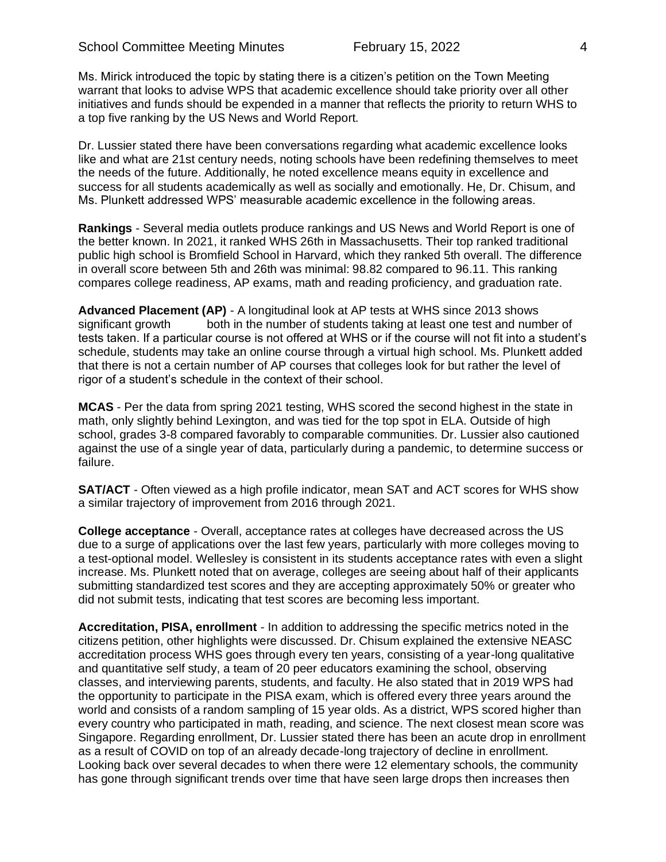Ms. Mirick introduced the topic by stating there is a citizen's petition on the Town Meeting warrant that looks to advise WPS that academic excellence should take priority over all other initiatives and funds should be expended in a manner that reflects the priority to return WHS to a top five ranking by the US News and World Report.

Dr. Lussier stated there have been conversations regarding what academic excellence looks like and what are 21st century needs, noting schools have been redefining themselves to meet the needs of the future. Additionally, he noted excellence means equity in excellence and success for all students academically as well as socially and emotionally. He, Dr. Chisum, and Ms. Plunkett addressed WPS' measurable academic excellence in the following areas.

**Rankings** - Several media outlets produce rankings and US News and World Report is one of the better known. In 2021, it ranked WHS 26th in Massachusetts. Their top ranked traditional public high school is Bromfield School in Harvard, which they ranked 5th overall. The difference in overall score between 5th and 26th was minimal: 98.82 compared to 96.11. This ranking compares college readiness, AP exams, math and reading proficiency, and graduation rate.

**Advanced Placement (AP)** - A longitudinal look at AP tests at WHS since 2013 shows significant growth both in the number of students taking at least one test and number of tests taken. If a particular course is not offered at WHS or if the course will not fit into a student's schedule, students may take an online course through a virtual high school. Ms. Plunkett added that there is not a certain number of AP courses that colleges look for but rather the level of rigor of a student's schedule in the context of their school.

**MCAS** - Per the data from spring 2021 testing, WHS scored the second highest in the state in math, only slightly behind Lexington, and was tied for the top spot in ELA. Outside of high school, grades 3-8 compared favorably to comparable communities. Dr. Lussier also cautioned against the use of a single year of data, particularly during a pandemic, to determine success or failure.

**SAT/ACT** - Often viewed as a high profile indicator, mean SAT and ACT scores for WHS show a similar trajectory of improvement from 2016 through 2021.

**College acceptance** - Overall, acceptance rates at colleges have decreased across the US due to a surge of applications over the last few years, particularly with more colleges moving to a test-optional model. Wellesley is consistent in its students acceptance rates with even a slight increase. Ms. Plunkett noted that on average, colleges are seeing about half of their applicants submitting standardized test scores and they are accepting approximately 50% or greater who did not submit tests, indicating that test scores are becoming less important.

**Accreditation, PISA, enrollment** - In addition to addressing the specific metrics noted in the citizens petition, other highlights were discussed. Dr. Chisum explained the extensive NEASC accreditation process WHS goes through every ten years, consisting of a year-long qualitative and quantitative self study, a team of 20 peer educators examining the school, observing classes, and interviewing parents, students, and faculty. He also stated that in 2019 WPS had the opportunity to participate in the PISA exam, which is offered every three years around the world and consists of a random sampling of 15 year olds. As a district, WPS scored higher than every country who participated in math, reading, and science. The next closest mean score was Singapore. Regarding enrollment, Dr. Lussier stated there has been an acute drop in enrollment as a result of COVID on top of an already decade-long trajectory of decline in enrollment. Looking back over several decades to when there were 12 elementary schools, the community has gone through significant trends over time that have seen large drops then increases then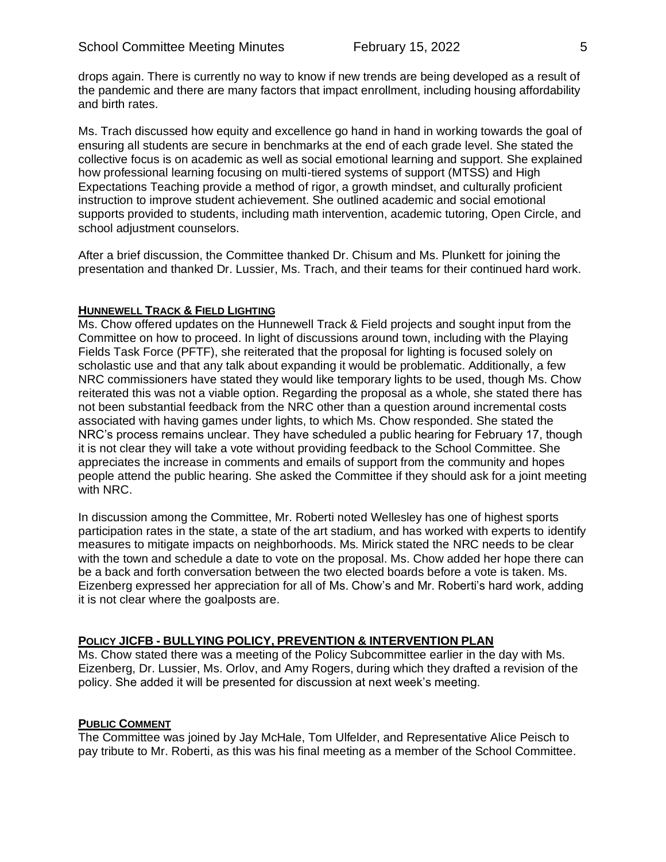drops again. There is currently no way to know if new trends are being developed as a result of the pandemic and there are many factors that impact enrollment, including housing affordability and birth rates.

Ms. Trach discussed how equity and excellence go hand in hand in working towards the goal of ensuring all students are secure in benchmarks at the end of each grade level. She stated the collective focus is on academic as well as social emotional learning and support. She explained how professional learning focusing on multi-tiered systems of support (MTSS) and High Expectations Teaching provide a method of rigor, a growth mindset, and culturally proficient instruction to improve student achievement. She outlined academic and social emotional supports provided to students, including math intervention, academic tutoring, Open Circle, and school adjustment counselors.

After a brief discussion, the Committee thanked Dr. Chisum and Ms. Plunkett for joining the presentation and thanked Dr. Lussier, Ms. Trach, and their teams for their continued hard work.

#### **HUNNEWELL TRACK & FIELD LIGHTING**

Ms. Chow offered updates on the Hunnewell Track & Field projects and sought input from the Committee on how to proceed. In light of discussions around town, including with the Playing Fields Task Force (PFTF), she reiterated that the proposal for lighting is focused solely on scholastic use and that any talk about expanding it would be problematic. Additionally, a few NRC commissioners have stated they would like temporary lights to be used, though Ms. Chow reiterated this was not a viable option. Regarding the proposal as a whole, she stated there has not been substantial feedback from the NRC other than a question around incremental costs associated with having games under lights, to which Ms. Chow responded. She stated the NRC's process remains unclear. They have scheduled a public hearing for February 17, though it is not clear they will take a vote without providing feedback to the School Committee. She appreciates the increase in comments and emails of support from the community and hopes people attend the public hearing. She asked the Committee if they should ask for a joint meeting with NRC.

In discussion among the Committee, Mr. Roberti noted Wellesley has one of highest sports participation rates in the state, a state of the art stadium, and has worked with experts to identify measures to mitigate impacts on neighborhoods. Ms. Mirick stated the NRC needs to be clear with the town and schedule a date to vote on the proposal. Ms. Chow added her hope there can be a back and forth conversation between the two elected boards before a vote is taken. Ms. Eizenberg expressed her appreciation for all of Ms. Chow's and Mr. Roberti's hard work, adding it is not clear where the goalposts are.

#### **POLICY JICFB - BULLYING POLICY, PREVENTION & INTERVENTION PLAN**

Ms. Chow stated there was a meeting of the Policy Subcommittee earlier in the day with Ms. Eizenberg, Dr. Lussier, Ms. Orlov, and Amy Rogers, during which they drafted a revision of the policy. She added it will be presented for discussion at next week's meeting.

## **PUBLIC COMMENT**

The Committee was joined by Jay McHale, Tom Ulfelder, and Representative Alice Peisch to pay tribute to Mr. Roberti, as this was his final meeting as a member of the School Committee.